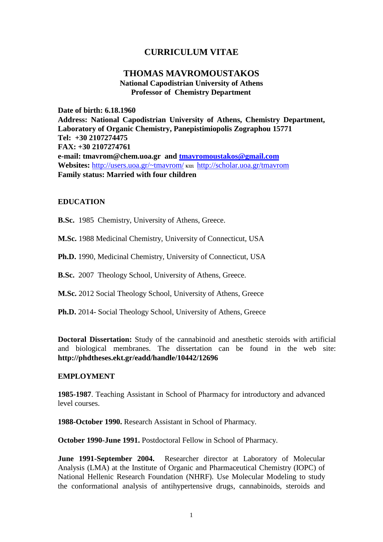# **CURRICULUM VITAE**

## **THOMAS MAVROMOUSTAKOS National Capodistrian University of Athens Professor of Chemistry Department**

**Date of birth: 6.18.1960 Address: National Capodistrian University of Athens, Chemistry Department, Laboratory of Organic Chemistry, Panepistimiopolis Zographou 15771 Tel: +30 2107274475 FAX: +30 2107274761 e-mail: tmavrom@chem.uoa.gr and [tmavromoustakos@gmail.com](mailto:tmavromoustakos@gmail.com) Websites:** [http://users.uoa.gr/~tmavrom/](http://users.uoa.gr/%7Etmavrom/) και <http://scholar.uoa.gr/tmavrom> **Family status: Married with four children**

### **EDUCATION**

**B.Sc.** 1985 Chemistry, University of Athens, Greece.

**M.Sc.** 1988 Medicinal Chemistry, University of Connecticut, USA

**Ph.D.** 1990, Medicinal Chemistry, University of Connecticut, USA

**B.Sc.** 2007 Theology School, University of Athens, Greece.

**M.Sc.** 2012 Social Theology School, University of Athens, Greece

**Ph.D.** 2014- Social Theology School, University of Athens, Greece

**Doctoral Dissertation:** Study of the cannabinoid and anesthetic steroids with artificial and biological membranes. The dissertation can be found in the web site: **http://phdtheses.ekt.gr/eadd/handle/10442/12696**

#### **EMPLOYMENT**

**1985-1987**. Teaching Assistant in School of Pharmacy for introductory and advanced level courses.

**1988-October 1990.** Research Assistant in School of Pharmacy.

**October 1990-June 1991.** Postdoctoral Fellow in School of Pharmacy.

**June 1991-September 2004.** Researcher director at Laboratory of Molecular Analysis (LMA) at the Institute of Organic and Pharmaceutical Chemistry (IOPC) of National Hellenic Research Foundation (NHRF). Use Molecular Modeling to study the conformational analysis of antihypertensive drugs, cannabinoids, steroids and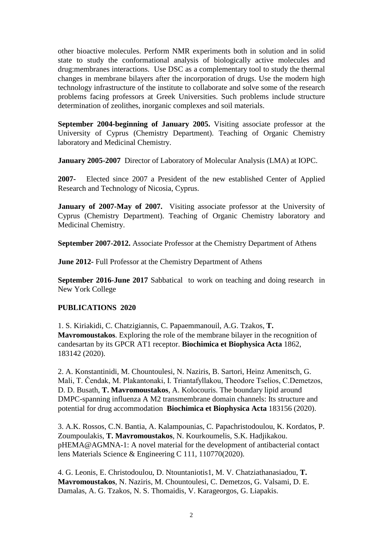other bioactive molecules. Perform NMR experiments both in solution and in solid state to study the conformational analysis of biologically active molecules and drug:membranes interactions. Use DSC as a complementary tool to study the thermal changes in membrane bilayers after the incorporation of drugs. Use the modern high technology infrastructure of the institute to collaborate and solve some of the research problems facing professors at Greek Universities. Such problems include structure determination of zeolithes, inorganic complexes and soil materials.

**September 2004-beginning of January 2005.** Visiting associate professor at the University of Cyprus (Chemistry Department). Teaching of Organic Chemistry laboratory and Medicinal Chemistry.

**January 2005-2007** Director of Laboratory of Molecular Analysis (LMA) at IOPC.

**2007-** Elected since 2007 a President of the new established Center of Applied Research and Technology of Nicosia, Cyprus.

**January of 2007-May of 2007.** Visiting associate professor at the University of Cyprus (Chemistry Department). Teaching of Organic Chemistry laboratory and Medicinal Chemistry.

**September 2007-2012.** Associate Professor at the Chemistry Department of Athens

**June 2012-** Full Professor at the Chemistry Department of Athens

**September 2016-June 2017** Sabbatical to work on teaching and doing research in New York College

#### **PUBLICATIONS 2020**

1. S. Kiriakidi, C. Chatzigiannis, C. Papaemmanouil, A.G. Tzakos, **T. Mavromoustakos**. Exploring the role of the membrane bilayer in the recognition of candesartan by its GPCR AT1 receptor. **Biochimica et Biophysica Acta** 1862, 183142 (2020).

2. A. Konstantinidi, M. Chountoulesi, N. Naziris, B. Sartori, Heinz Amenitsch, G. Mali, T. Čendak, M. Plakantonaki, I. Triantafyllakou, Theodore Tselios, C.Demetzos, D. D. Busath, **T. Mavromoustakos**, A. Kolocouris. The boundary lipid around DMPC-spanning influenza A M2 transmembrane domain channels: Its structure and potential for drug accommodation **Biochimica et Biophysica Acta** 183156 (2020).

3. A.K. Rossos, C.N. Bantia, A. Kalampounias, C. Papachristodoulou, K. Kordatos, P. Zoumpoulakis, **T. Mavromoustakos**, N. Kourkoumelis, S.K. Hadjikakou. pHEMA@AGMNA-1: A novel material for the development of antibacterial contact lens Materials Science & Engineering C 111, 110770(2020).

4. G. Leonis, E. Christodoulou, D. Ntountaniotis1, M. V. Chatziathanasiadou, **T. Mavromoustakos**, N. Naziris, M. Chountoulesi, C. Demetzos, G. Valsami, D. E. Damalas, A. G. Tzakos, N. S. Thomaidis, V. Karageorgos, G. Liapakis.